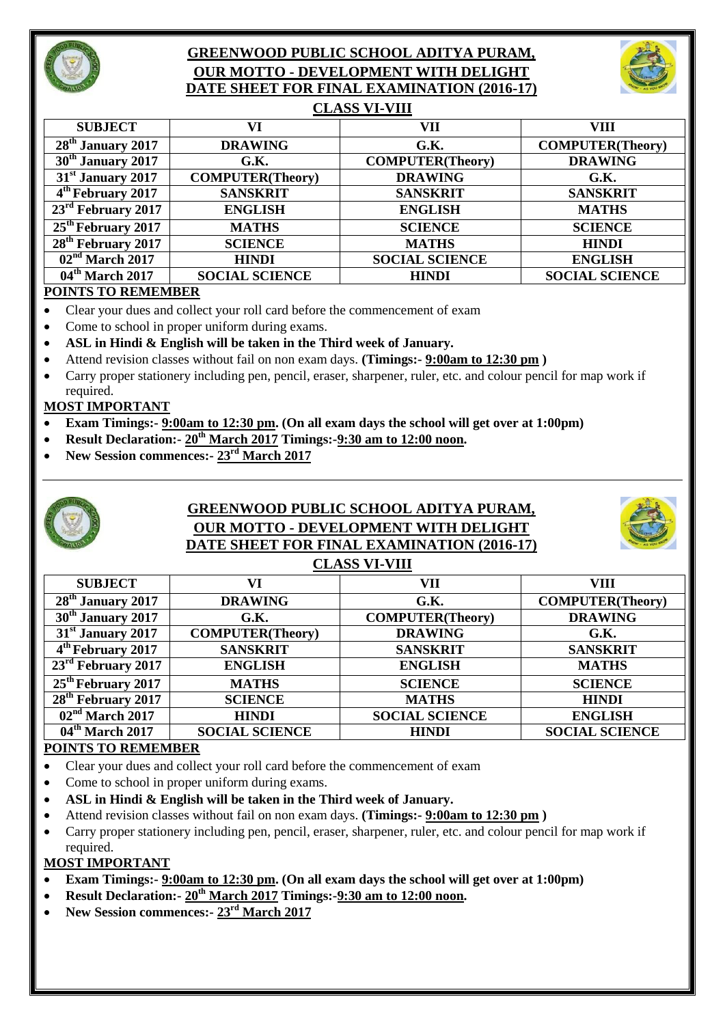

# **GREENWOOD PUBLIC SCHOOL ADITYA PURAM, OUR MOTTO - DEVELOPMENT WITH DELIGHT DATE SHEET FOR FINAL EXAMINATION (2016-17)**



| <b>CLASS VI-VIII</b>                     |                         |                         |                         |  |
|------------------------------------------|-------------------------|-------------------------|-------------------------|--|
| <b>SUBJECT</b>                           | VI                      | VII                     | VIII                    |  |
| $28th$ January 2017                      | <b>DRAWING</b>          | G.K.                    | <b>COMPUTER(Theory)</b> |  |
| 30 <sup>th</sup> January 2017            | G.K.                    | <b>COMPUTER(Theory)</b> | <b>DRAWING</b>          |  |
| 31 <sup>st</sup> January 2017            | <b>COMPUTER(Theory)</b> | <b>DRAWING</b>          | G.K.                    |  |
| 4 <sup>th</sup> February 2017            | <b>SANSKRIT</b>         | <b>SANSKRIT</b>         | <b>SANSKRIT</b>         |  |
| $23^{\rm rd}$ February 2017              | <b>ENGLISH</b>          | <b>ENGLISH</b>          | <b>MATHS</b>            |  |
| $25th$ February 2017                     | <b>MATHS</b>            | <b>SCIENCE</b>          | <b>SCIENCE</b>          |  |
| $28th$ February 2017                     | <b>SCIENCE</b>          | <b>MATHS</b>            | <b>HINDI</b>            |  |
| $\overline{02}$ <sup>nd</sup> March 2017 | <b>HINDI</b>            | <b>SOCIAL SCIENCE</b>   | <b>ENGLISH</b>          |  |

**04th March 2017 SOCIAL SCIENCE HINDI SOCIAL SCIENCE**

#### **POINTS TO REMEMBER**

- Clear your dues and collect your roll card before the commencement of exam
- Come to school in proper uniform during exams.
- **ASL in Hindi & English will be taken in the Third week of January.**
- Attend revision classes without fail on non exam days. **(Timings:- 9:00am to 12:30 pm )**
- Carry proper stationery including pen, pencil, eraser, sharpener, ruler, etc. and colour pencil for map work if required.

#### **MOST IMPORTANT**

- **Exam Timings:- 9:00am to 12:30 pm. (On all exam days the school will get over at 1:00pm)**
- **Result Declaration:- 20th March 2017 Timings:-9:30 am to 12:00 noon.**
- **New Session commences:- 23rd March 2017**



# **GREENWOOD PUBLIC SCHOOL ADITYA PURAM, OUR MOTTO - DEVELOPMENT WITH DELIGHT DATE SHEET FOR FINAL EXAMINATION (2016-17)**



# **CLASS VI-VIII**

| <b>SUBJECT</b>                 | VI                      | VII                     | <b>VIII</b>             |  |
|--------------------------------|-------------------------|-------------------------|-------------------------|--|
| $28th$ January 2017            | <b>DRAWING</b>          | G.K.                    | <b>COMPUTER(Theory)</b> |  |
| 30 <sup>th</sup> January 2017  | G.K.                    | <b>COMPUTER(Theory)</b> | <b>DRAWING</b>          |  |
| $31st$ January 2017            | <b>COMPUTER(Theory)</b> | <b>DRAWING</b>          | G.K.                    |  |
| $4th$ February 2017            | <b>SANSKRIT</b>         | <b>SANSKRIT</b>         | <b>SANSKRIT</b>         |  |
| $23rd$ February 2017           | <b>ENGLISH</b>          | <b>ENGLISH</b>          | <b>MATHS</b>            |  |
| 25 <sup>th</sup> February 2017 | <b>MATHS</b>            | <b>SCIENCE</b>          | <b>SCIENCE</b>          |  |
| $28th$ February 2017           | <b>SCIENCE</b>          | <b>MATHS</b>            | <b>HINDI</b>            |  |
| $02nd$ March 2017              | <b>HINDI</b>            | <b>SOCIAL SCIENCE</b>   | <b>ENGLISH</b>          |  |
| $04th$ March 2017              | <b>SOCIAL SCIENCE</b>   | <b>HINDI</b>            | <b>SOCIAL SCIENCE</b>   |  |
|                                |                         |                         |                         |  |

### **POINTS TO REMEMBER**

- Clear your dues and collect your roll card before the commencement of exam
- Come to school in proper uniform during exams.
- **ASL in Hindi & English will be taken in the Third week of January.**
- Attend revision classes without fail on non exam days. **(Timings:- 9:00am to 12:30 pm )**
- Carry proper stationery including pen, pencil, eraser, sharpener, ruler, etc. and colour pencil for map work if required.

#### **MOST IMPORTANT**

- **Exam Timings:- 9:00am to 12:30 pm. (On all exam days the school will get over at 1:00pm)**
- **Result Declaration:- 20th March 2017 Timings:-9:30 am to 12:00 noon.**
- **New Session commences:- 23rd March 2017**